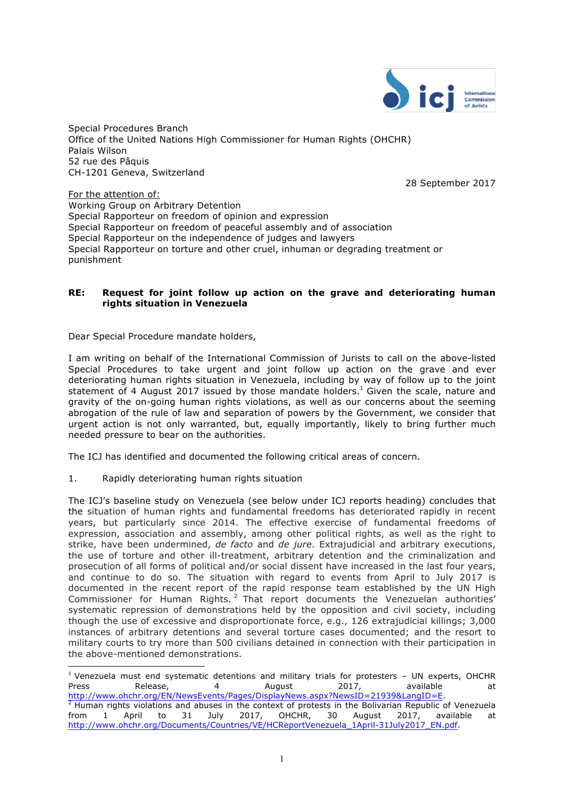

Special Procedures Branch Office of the United Nations High Commissioner for Human Rights (OHCHR) Palais Wilson 52 rue des Pâquis CH-1201 Geneva, Switzerland

28 September 2017

For the attention of: Working Group on Arbitrary Detention Special Rapporteur on freedom of opinion and expression Special Rapporteur on freedom of peaceful assembly and of association Special Rapporteur on the independence of judges and lawyers Special Rapporteur on torture and other cruel, inhuman or degrading treatment or punishment

# **RE: Request for joint follow up action on the grave and deteriorating human rights situation in Venezuela**

Dear Special Procedure mandate holders,

I am writing on behalf of the International Commission of Jurists to call on the above-listed Special Procedures to take urgent and joint follow up action on the grave and ever deteriorating human rights situation in Venezuela, including by way of follow up to the joint statement of 4 August 2017 issued by those mandate holders.<sup>1</sup> Given the scale, nature and gravity of the on-going human rights violations, as well as our concerns about the seeming abrogation of the rule of law and separation of powers by the Government, we consider that urgent action is not only warranted, but, equally importantly, likely to bring further much needed pressure to bear on the authorities.

The ICJ has identified and documented the following critical areas of concern.

1. Rapidly deteriorating human rights situation

 $\overline{a}$ 

The ICJ's baseline study on Venezuela (see below under ICJ reports heading) concludes that the situation of human rights and fundamental freedoms has deteriorated rapidly in recent years, but particularly since 2014. The effective exercise of fundamental freedoms of expression, association and assembly, among other political rights, as well as the right to strike, have been undermined, *de facto* and *de jure*. Extrajudicial and arbitrary executions, the use of torture and other ill-treatment, arbitrary detention and the criminalization and prosecution of all forms of political and/or social dissent have increased in the last four years, and continue to do so. The situation with regard to events from April to July 2017 is documented in the recent report of the rapid response team established by the UN High Commissioner for Human Rights.<sup>2</sup> That report documents the Venezuelan authorities' systematic repression of demonstrations held by the opposition and civil society, including though the use of excessive and disproportionate force, e.g., 126 extrajudicial killings; 3,000 instances of arbitrary detentions and several torture cases documented; and the resort to military courts to try more than 500 civilians detained in connection with their participation in the above-mentioned demonstrations.

<sup>&</sup>lt;sup>1</sup> Venezuela must end systematic detentions and military trials for protesters – UN experts, OHCHR<br>Press available at the experience of the contract of the cases are at the Press available at Press Release, 4 August 2017, available at Release, 4 August 2017, available at http://www.ohchr.org/EN/NewsEvents/Pages/DisplayNews.aspx?NewsID=21939&LangID=E.  $^2$  Human rights violations and abuses in the context of protests in the Bolivarian Republic of Venezuela from 1 April to 31 July 2017, OHCHR, 30 August 2017, available at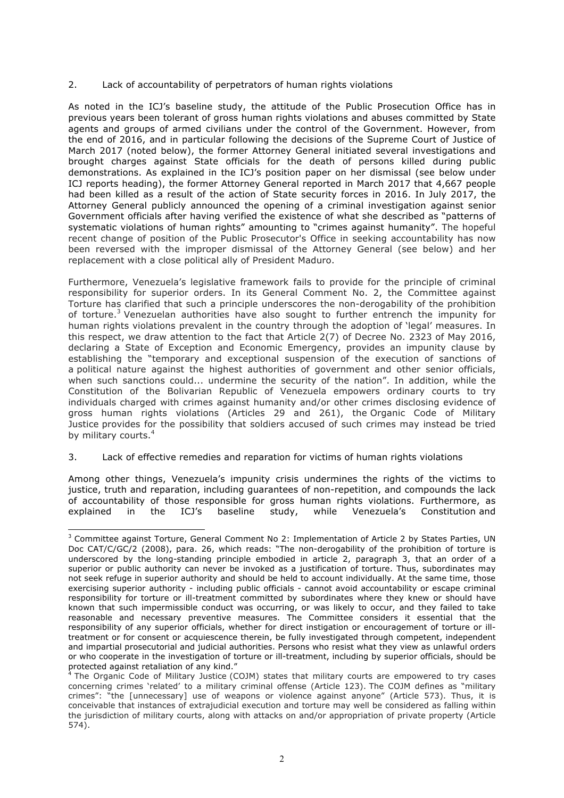## 2. Lack of accountability of perpetrators of human rights violations

As noted in the ICJ's baseline study, the attitude of the Public Prosecution Office has in previous years been tolerant of gross human rights violations and abuses committed by State agents and groups of armed civilians under the control of the Government. However, from the end of 2016, and in particular following the decisions of the Supreme Court of Justice of March 2017 (noted below), the former Attorney General initiated several investigations and brought charges against State officials for the death of persons killed during public demonstrations. As explained in the ICJ's position paper on her dismissal (see below under ICJ reports heading), the former Attorney General reported in March 2017 that 4,667 people had been killed as a result of the action of State security forces in 2016. In July 2017, the Attorney General publicly announced the opening of a criminal investigation against senior Government officials after having verified the existence of what she described as "patterns of systematic violations of human rights" amounting to "crimes against humanity". The hopeful recent change of position of the Public Prosecutor's Office in seeking accountability has now been reversed with the improper dismissal of the Attorney General (see below) and her replacement with a close political ally of President Maduro.

Furthermore, Venezuela's legislative framework fails to provide for the principle of criminal responsibility for superior orders. In its General Comment No. 2, the Committee against Torture has clarified that such a principle underscores the non-derogability of the prohibition of torture.<sup>3</sup> Venezuelan authorities have also sought to further entrench the impunity for human rights violations prevalent in the country through the adoption of 'legal' measures. In this respect, we draw attention to the fact that Article 2(7) of Decree No. 2323 of May 2016, declaring a State of Exception and Economic Emergency, provides an impunity clause by establishing the "temporary and exceptional suspension of the execution of sanctions of a political nature against the highest authorities of government and other senior officials, when such sanctions could... undermine the security of the nation". In addition, while the Constitution of the Bolivarian Republic of Venezuela empowers ordinary courts to try individuals charged with crimes against humanity and/or other crimes disclosing evidence of gross human rights violations (Articles 29 and 261), the Organic Code of Military Justice provides for the possibility that soldiers accused of such crimes may instead be tried by military courts.<sup>4</sup>

# 3. Lack of effective remedies and reparation for victims of human rights violations

 $\overline{a}$ 

Among other things, Venezuela's impunity crisis undermines the rights of the victims to justice, truth and reparation, including guarantees of non-repetition, and compounds the lack of accountability of those responsible for gross human rights violations. Furthermore, as explained in the ICJ's baseline study, while Venezuela's Constitution and

<sup>&</sup>lt;sup>3</sup> Committee against Torture, General Comment No 2: Implementation of Article 2 by States Parties, UN Doc CAT/C/GC/2 (2008), para. 26, which reads: "The non-derogability of the prohibition of torture is underscored by the long-standing principle embodied in article 2, paragraph 3, that an order of a superior or public authority can never be invoked as a justification of torture. Thus, subordinates may not seek refuge in superior authority and should be held to account individually. At the same time, those exercising superior authority - including public officials - cannot avoid accountability or escape criminal responsibility for torture or ill-treatment committed by subordinates where they knew or should have known that such impermissible conduct was occurring, or was likely to occur, and they failed to take reasonable and necessary preventive measures. The Committee considers it essential that the responsibility of any superior officials, whether for direct instigation or encouragement of torture or illtreatment or for consent or acquiescence therein, be fully investigated through competent, independent and impartial prosecutorial and judicial authorities. Persons who resist what they view as unlawful orders or who cooperate in the investigation of torture or ill-treatment, including by superior officials, should be protected against retaliation of any kind."

The Organic Code of Military Justice (COJM) states that military courts are empowered to try cases concerning crimes 'related' to a military criminal offense (Article 123). The COJM defines as "military crimes": "the [unnecessary] use of weapons or violence against anyone" (Article 573). Thus, it is conceivable that instances of extrajudicial execution and torture may well be considered as falling within the jurisdiction of military courts, along with attacks on and/or appropriation of private property (Article 574).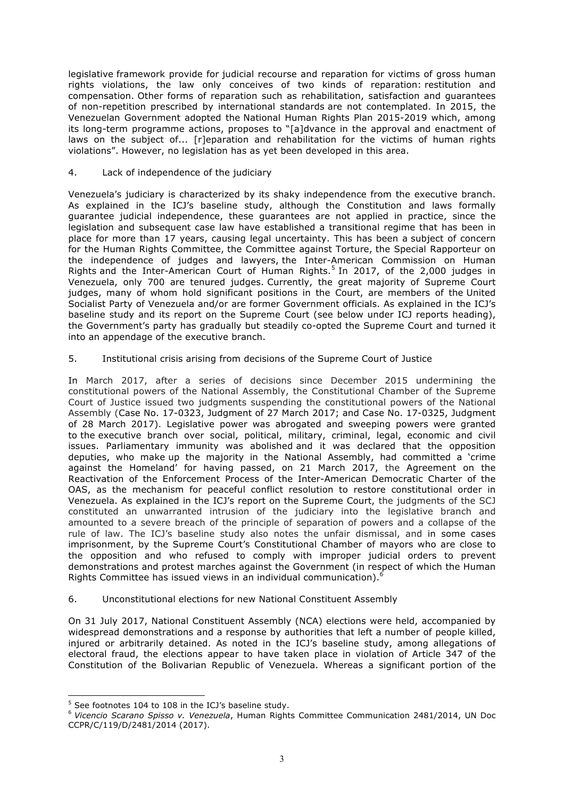legislative framework provide for judicial recourse and reparation for victims of gross human rights violations, the law only conceives of two kinds of reparation: restitution and compensation. Other forms of reparation such as rehabilitation, satisfaction and guarantees of non-repetition prescribed by international standards are not contemplated. In 2015, the Venezuelan Government adopted the National Human Rights Plan 2015-2019 which, among its long-term programme actions, proposes to "[a]dvance in the approval and enactment of laws on the subject of... [r]eparation and rehabilitation for the victims of human rights violations". However, no legislation has as yet been developed in this area.

## 4. Lack of independence of the judiciary

Venezuela's judiciary is characterized by its shaky independence from the executive branch. As explained in the ICJ's baseline study, although the Constitution and laws formally guarantee judicial independence, these guarantees are not applied in practice, since the legislation and subsequent case law have established a transitional regime that has been in place for more than 17 years, causing legal uncertainty. This has been a subject of concern for the Human Rights Committee, the Committee against Torture, the Special Rapporteur on the independence of judges and lawyers, the Inter-American Commission on Human Rights and the Inter-American Court of Human Rights.<sup>5</sup> In 2017, of the 2,000 judges in Venezuela, only 700 are tenured judges. Currently, the great majority of Supreme Court judges, many of whom hold significant positions in the Court, are members of the United Socialist Party of Venezuela and/or are former Government officials. As explained in the ICJ's baseline study and its report on the Supreme Court (see below under ICJ reports heading), the Government's party has gradually but steadily co-opted the Supreme Court and turned it into an appendage of the executive branch.

## 5. Institutional crisis arising from decisions of the Supreme Court of Justice

In March 2017, after a series of decisions since December 2015 undermining the constitutional powers of the National Assembly, the Constitutional Chamber of the Supreme Court of Justice issued two judgments suspending the constitutional powers of the National Assembly (Case No. 17-0323, Judgment of 27 March 2017; and Case No. 17-0325, Judgment of 28 March 2017). Legislative power was abrogated and sweeping powers were granted to the executive branch over social, political, military, criminal, legal, economic and civil issues. Parliamentary immunity was abolished and it was declared that the opposition deputies, who make up the majority in the National Assembly, had committed a 'crime against the Homeland' for having passed, on 21 March 2017, the Agreement on the Reactivation of the Enforcement Process of the Inter-American Democratic Charter of the OAS, as the mechanism for peaceful conflict resolution to restore constitutional order in Venezuela. As explained in the ICJ's report on the Supreme Court, the judgments of the SCJ constituted an unwarranted intrusion of the judiciary into the legislative branch and amounted to a severe breach of the principle of separation of powers and a collapse of the rule of law. The ICJ's baseline study also notes the unfair dismissal, and in some cases imprisonment, by the Supreme Court's Constitutional Chamber of mayors who are close to the opposition and who refused to comply with improper judicial orders to prevent demonstrations and protest marches against the Government (in respect of which the Human Rights Committee has issued views in an individual communication).<sup>6</sup>

#### 6. Unconstitutional elections for new National Constituent Assembly

On 31 July 2017, National Constituent Assembly (NCA) elections were held, accompanied by widespread demonstrations and a response by authorities that left a number of people killed, injured or arbitrarily detained. As noted in the ICJ's baseline study, among allegations of electoral fraud, the elections appear to have taken place in violation of Article 347 of the Constitution of the Bolivarian Republic of Venezuela. Whereas a significant portion of the

 $\overline{a}$ 

 $5$  See footnotes 104 to 108 in the ICJ's baseline study.

<sup>6</sup> *Vicencio Scarano Spisso v. Venezuela*, Human Rights Committee Communication 2481/2014, UN Doc CCPR/C/119/D/2481/2014 (2017).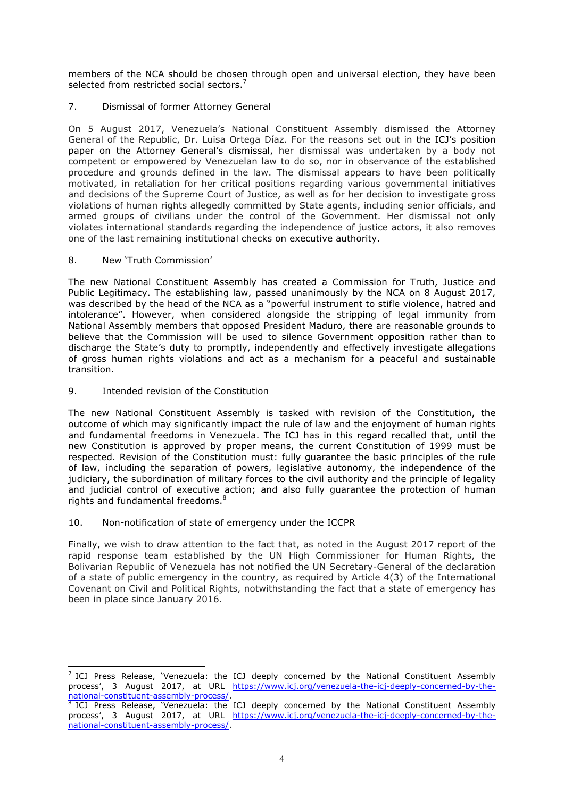members of the NCA should be chosen through open and universal election, they have been selected from restricted social sectors. $^{7}$ 

# 7. Dismissal of former Attorney General

On 5 August 2017, Venezuela's National Constituent Assembly dismissed the Attorney General of the Republic, Dr. Luisa Ortega Díaz. For the reasons set out in the ICJ's position paper on the Attorney General's dismissal, her dismissal was undertaken by a body not competent or empowered by Venezuelan law to do so, nor in observance of the established procedure and grounds defined in the law. The dismissal appears to have been politically motivated, in retaliation for her critical positions regarding various governmental initiatives and decisions of the Supreme Court of Justice, as well as for her decision to investigate gross violations of human rights allegedly committed by State agents, including senior officials, and armed groups of civilians under the control of the Government. Her dismissal not only violates international standards regarding the independence of justice actors, it also removes one of the last remaining institutional checks on executive authority.

# 8. New 'Truth Commission'

 $\overline{a}$ 

The new National Constituent Assembly has created a Commission for Truth, Justice and Public Legitimacy. The establishing law, passed unanimously by the NCA on 8 August 2017, was described by the head of the NCA as a "powerful instrument to stifle violence, hatred and intolerance". However, when considered alongside the stripping of legal immunity from National Assembly members that opposed President Maduro, there are reasonable grounds to believe that the Commission will be used to silence Government opposition rather than to discharge the State's duty to promptly, independently and effectively investigate allegations of gross human rights violations and act as a mechanism for a peaceful and sustainable transition.

# 9. Intended revision of the Constitution

The new National Constituent Assembly is tasked with revision of the Constitution, the outcome of which may significantly impact the rule of law and the enjoyment of human rights and fundamental freedoms in Venezuela. The ICJ has in this regard recalled that, until the new Constitution is approved by proper means, the current Constitution of 1999 must be respected. Revision of the Constitution must: fully guarantee the basic principles of the rule of law, including the separation of powers, legislative autonomy, the independence of the judiciary, the subordination of military forces to the civil authority and the principle of legality and judicial control of executive action; and also fully guarantee the protection of human rights and fundamental freedoms.<sup>8</sup>

# 10. Non-notification of state of emergency under the ICCPR

Finally, we wish to draw attention to the fact that, as noted in the August 2017 report of the rapid response team established by the UN High Commissioner for Human Rights, the Bolivarian Republic of Venezuela has not notified the UN Secretary-General of the declaration of a state of public emergency in the country, as required by Article 4(3) of the International Covenant on Civil and Political Rights, notwithstanding the fact that a state of emergency has been in place since January 2016.

 $^7$  ICJ Press Release, 'Venezuela: the ICJ deeply concerned by the National Constituent Assembly process', 3 August 2017, at URL https://www.icj.org/venezuela-the-icj-deeply-concerned-by-thenational-constituent-assembly-process/.<br><sup>8</sup> ICJ Press Release, 'Venezuela: the ICJ deeply concerned by the National Constituent Assembly

process', 3 August 2017, at URL https://www.icj.org/venezuela-the-icj-deeply-concerned-by-thenational-constituent-assembly-process/.